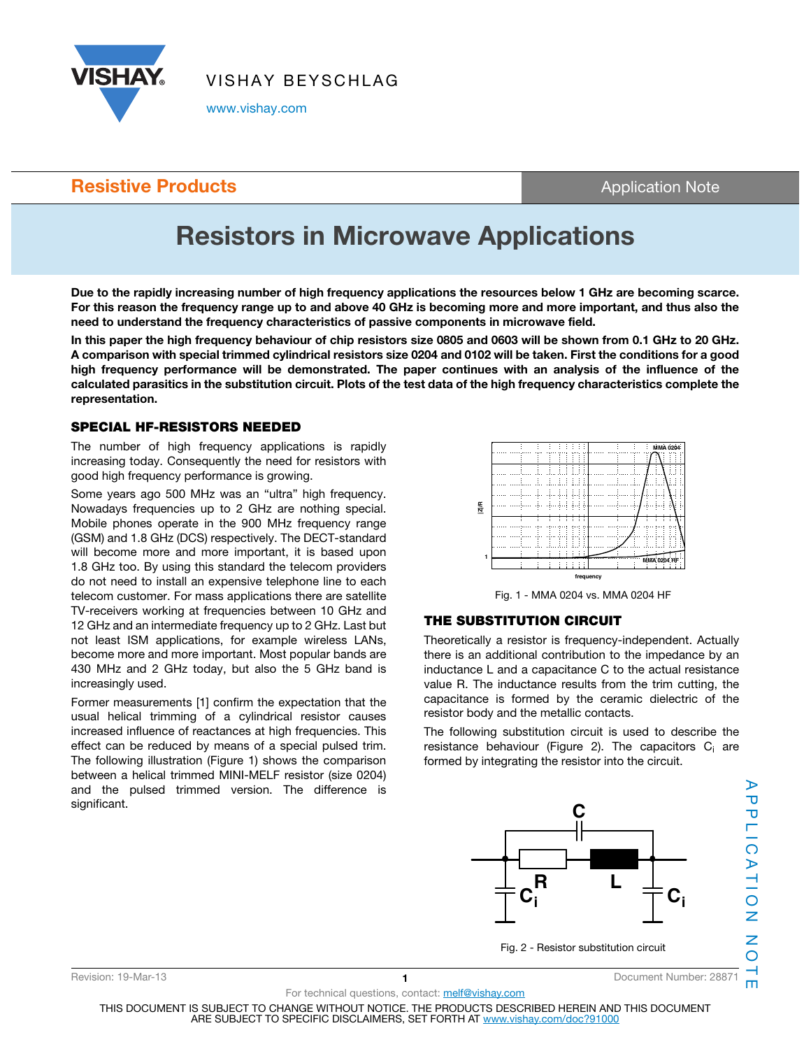

VISHAY BEYSCHLAG

www.vishay.com

### **Resistive Products Application Note Application Note**

# Resistors in Microwave Applications

Due to the rapidly increasing number of high frequency applications the resources below 1 GHz are becoming scarce. For this reason the frequency range up to and above 40 GHz is becoming more and more important, and thus also the need to understand the frequency characteristics of passive components in microwave field.

In this paper the high frequency behaviour of chip resistors size 0805 and 0603 will be shown from 0.1 GHz to 20 GHz. A comparison with special trimmed cylindrical resistors size 0204 and 0102 will be taken. First the conditions for a good high frequency performance will be demonstrated. The paper continues with an analysis of the influence of the calculated parasitics in the substitution circuit. Plots of the test data of the high frequency characteristics complete the representation.

#### SPECIAL HF-RESISTORS NEEDED

The number of high frequency applications is rapidly increasing today. Consequently the need for resistors with good high frequency performance is growing.

Some years ago 500 MHz was an "ultra" high frequency. Nowadays frequencies up to 2 GHz are nothing special. Mobile phones operate in the 900 MHz frequency range (GSM) and 1.8 GHz (DCS) respectively. The DECT-standard will become more and more important, it is based upon 1.8 GHz too. By using this standard the telecom providers do not need to install an expensive telephone line to each telecom customer. For mass applications there are satellite TV-receivers working at frequencies between 10 GHz and 12 GHz and an intermediate frequency up to 2 GHz. Last but not least ISM applications, for example wireless LANs, become more and more important. Most popular bands are 430 MHz and 2 GHz today, but also the 5 GHz band is increasingly used.

Former measurements [1] confirm the expectation that the usual helical trimming of a cylindrical resistor causes increased influence of reactances at high frequencies. This effect can be reduced by means of a special pulsed trim. The following illustration (Figure 1) shows the comparison between a helical trimmed MINI-MELF resistor (size 0204) and the pulsed trimmed version. The difference is significant.



Fig. 1 - MMA 0204 vs. MMA 0204 HF

#### THE SUBSTITUTION CIRCUIT

Theoretically a resistor is frequency-independent. Actually there is an additional contribution to the impedance by an inductance L and a capacitance C to the actual resistance value R. The inductance results from the trim cutting, the capacitance is formed by the ceramic dielectric of the resistor body and the metallic contacts.

The following substitution circuit is used to describe the resistance behaviour (Figure 2). The capacitors C<sub>i</sub> are formed by integrating the resistor into the circuit.



THIS DOCUMENT IS SUBJECT TO CHANGE WITHOUT NOTICE. THE PRODUCTS DESCRIBED HEREIN AND THIS DOCUMENT ARE SUBJECT TO SPECIFIC DISCLAIMERS, SET FORTH AT www.vishay.com/doc?91000

For technical questions, contact: melf@vishay.com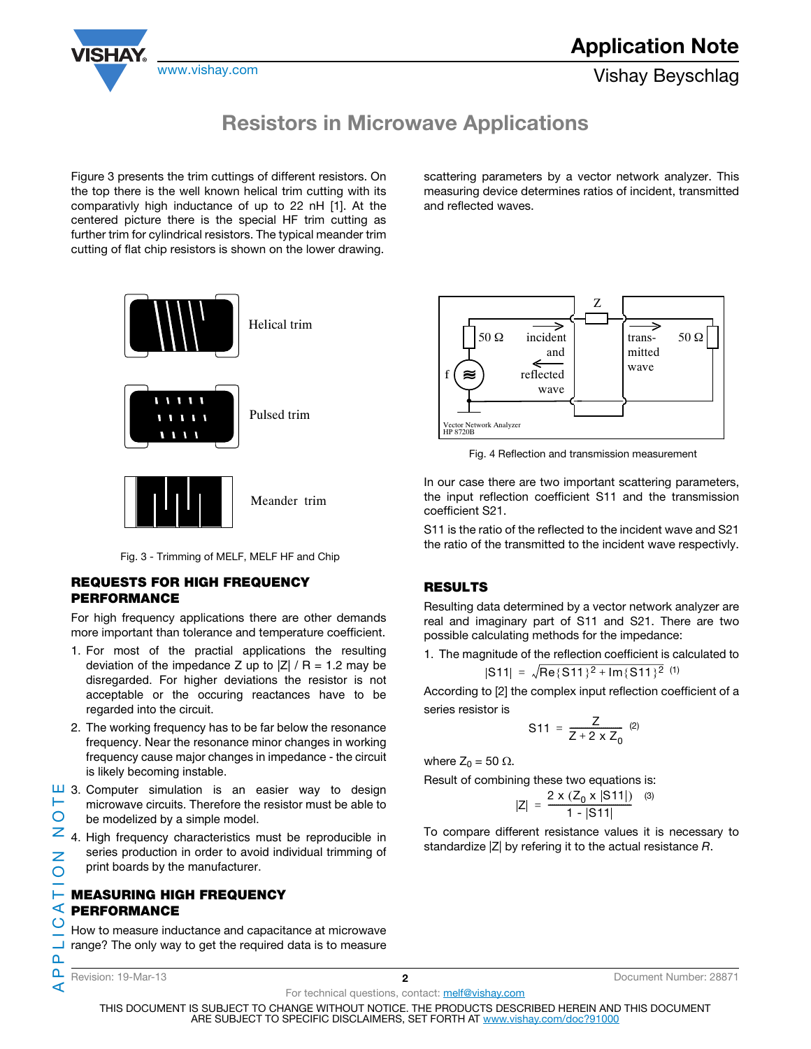

## Resistors in Microwave Applications

Figure 3 presents the trim cuttings of different resistors. On the top there is the well known helical trim cutting with its comparativly high inductance of up to 22 nH [1]. At the centered picture there is the special HF trim cutting as further trim for cylindrical resistors. The typical meander trim cutting of flat chip resistors is shown on the lower drawing.

scattering parameters by a vector network analyzer. This measuring device determines ratios of incident, transmitted and reflected waves.



### Fig. 3 - Trimming of MELF, MELF HF and Chip

#### REQUESTS FOR HIGH FREQUENCY PERFORMANCE

For high frequency applications there are other demands more important than tolerance and temperature coefficient.

- 1. For most of the practial applications the resulting deviation of the impedance Z up to  $|Z| / R = 1.2$  may be disregarded. For higher deviations the resistor is not acceptable or the occuring reactances have to be regarded into the circuit.
- 2. The working frequency has to be far below the resonance frequency. Near the resonance minor changes in working frequency cause major changes in impedance - the circuit is likely becoming instable.
- $\Box$  3. Computer simulation is an easier way to design APPLICATION NOTE щ microwave circuits. Therefore the resistor must be able to  $\overline{O}$ be modelized by a simple model.
- $\geq$  4. High frequency characteristics must be reproducible in series production in order to avoid individual trimming of  $\overline{z}$ print boards by the manufacturer.  $\overline{O}$

#### **Heasuring High Frequency**  $\leq$  PERFORMANCE  $\overline{O}$

How to measure inductance and capacitance at microwave range? The only way to get the required data is to measure

௨

 $\mathbf{a}$ 

⋖

Revision: 19-Mar-13 2 Document Number: 28871

For technical questions, contact: melf@vishay.com

≈≈ Vector Network Analyzer HP 8720B Z 50 Ω incident trans- 50 Ω reflected wave and wave mitted

Fig. 4 Reflection and transmission measurement

In our case there are two important scattering parameters, the input reflection coefficient S11 and the transmission coefficient S21.

S11 is the ratio of the reflected to the incident wave and S21 the ratio of the transmitted to the incident wave respectivly.

### RESULTS

Resulting data determined by a vector network analyzer are real and imaginary part of S11 and S21. There are two possible calculating methods for the impedance:

1. The magnitude of the reflection coefficient is calculated to 
$$
|S11| = \sqrt{\text{Re}\{S11\}^2 + \text{Im}\{S11\}^2}
$$
 (1)

According to [2] the complex input reflection coefficient of a series resistor is

$$
S11 = \frac{Z}{Z + 2 \times Z_0} \, \, \text{(2)}
$$

where  $Z_0 = 50 \Omega$ .

Result of combining these two equations is:

$$
|Z| = \frac{2 \times (Z_0 \times |S11|)}{1 - |S11|} \quad (3)
$$

To compare different resistance values it is necessary to standardize |Z| by refering it to the actual resistance R.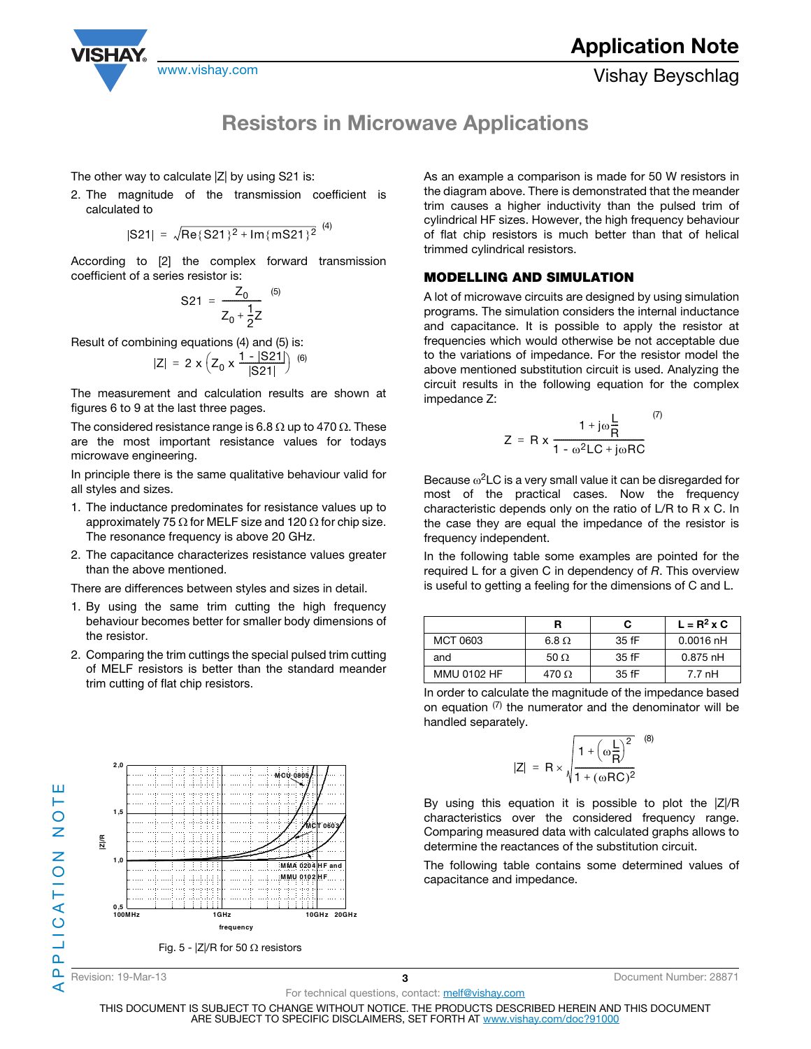

## Resistors in Microwave Applications

 $(4)$ 

The other way to calculate  $|Z|$  by using S21 is:

2. The magnitude of the transmission coefficient is calculated to

$$
|S21| = \sqrt{Re\{S21\}^2 + Im\{mS21\}^2}
$$
<sup>(4)</sup>

According to [2] the complex forward transmission coefficient of a series resistor is:

$$
S21 = \frac{Z_0}{Z_0 + \frac{1}{2}Z} \tag{5}
$$

Result of combining equations (4) and (5) is:

$$
|Z| = 2 \times \left(Z_0 \times \frac{1 - |S21|}{|S21|}\right) \tag{6}
$$

The measurement and calculation results are shown at figures 6 to 9 at the last three pages.

The considered resistance range is 6.8  $\Omega$  up to 470  $\Omega$ . These are the most important resistance values for todays microwave engineering.

In principle there is the same qualitative behaviour valid for all styles and sizes.

- 1. The inductance predominates for resistance values up to approximately 75  $\Omega$  for MELF size and 120  $\Omega$  for chip size. The resonance frequency is above 20 GHz.
- 2. The capacitance characterizes resistance values greater than the above mentioned.

There are differences between styles and sizes in detail.

- 1. By using the same trim cutting the high frequency behaviour becomes better for smaller body dimensions of the resistor.
- 2. Comparing the trim cuttings the special pulsed trim cutting of MELF resistors is better than the standard meander trim cutting of flat chip resistors.



As an example a comparison is made for 50 W resistors in the diagram above. There is demonstrated that the meander trim causes a higher inductivity than the pulsed trim of cylindrical HF sizes. However, the high frequency behaviour of flat chip resistors is much better than that of helical trimmed cylindrical resistors.

#### MODELLING AND SIMULATION

A lot of microwave circuits are designed by using simulation programs. The simulation considers the internal inductance and capacitance. It is possible to apply the resistor at frequencies which would otherwise be not acceptable due to the variations of impedance. For the resistor model the above mentioned substitution circuit is used. Analyzing the circuit results in the following equation for the complex impedance Z:

$$
Z = R x \frac{1 + j\omega \frac{L}{R}}{1 - \omega^2 LC + j\omega RC}
$$
<sup>(7)</sup>

Because  $\omega^2$ LC is a very small value it can be disregarded for most of the practical cases. Now the frequency characteristic depends only on the ratio of L/R to R x C. In the case they are equal the impedance of the resistor is frequency independent.

In the following table some examples are pointed for the required  $L$  for a given C in dependency of  $R$ . This overview is useful to getting a feeling for the dimensions of C and L.

|                    |              | С     | $L = R^2 \times C$ |
|--------------------|--------------|-------|--------------------|
| MCT 0603           | $6.8 \Omega$ | 35 fF | $0.0016$ nH        |
| and                | 50 $\Omega$  | 35 fF | $0.875$ nH         |
| <b>MMU 0102 HF</b> | 470 O        | 35 fF | 7.7 nH             |

In order to calculate the magnitude of the impedance based on equation  $(7)$  the numerator and the denominator will be handled separately.

$$
|Z| = R \times \sqrt{\frac{1 + \left(\omega \frac{L}{R}\right)^2}{1 + (\omega RC)^2}}
$$
 (8)

By using this equation it is possible to plot the |Z|/R characteristics over the considered frequency range. Comparing measured data with calculated graphs allows to determine the reactances of the substitution circuit.

The following table contains some determined values of capacitance and impedance.

APPLICATION NOTE

മ ⋖

PLICATION NO

ш Н

For technical questions, contact: melf@vishay.com

THIS DOCUMENT IS SUBJECT TO CHANGE WITHOUT NOTICE. THE PRODUCTS DESCRIBED HEREIN AND THIS DOCUMENT ARE SUBJECT TO SPECIFIC DISCLAIMERS, SET FORTH AT www.vishay.com/doc?91000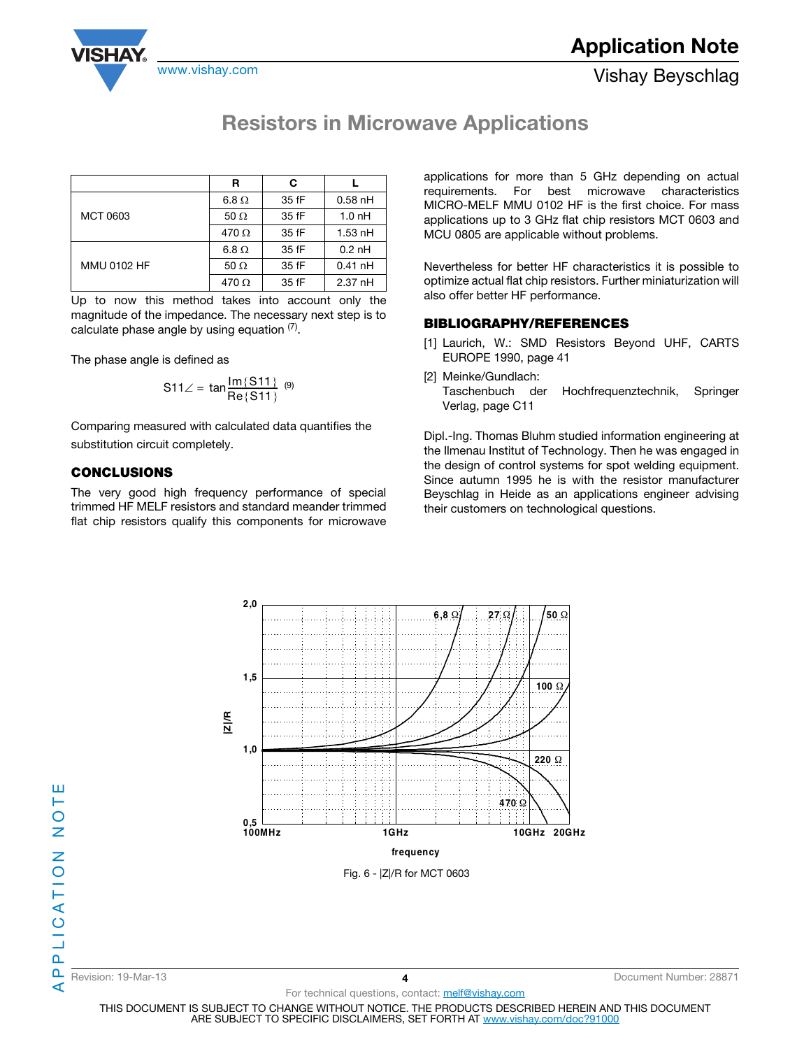

## Resistors in Microwave Applications

|                    | R            | C     |                   |
|--------------------|--------------|-------|-------------------|
|                    | $6.8 \Omega$ | 35 fF | $0.58$ nH         |
| MCT 0603           | 50 $\Omega$  | 35 fF | 1.0 <sub>nh</sub> |
|                    | 470 $\Omega$ | 35 fF | $1.53$ nH         |
|                    | $6.8 \Omega$ | 35 fF | $0.2$ nH          |
| <b>MMU 0102 HF</b> | 50 $\Omega$  | 35 fF | $0.41$ nH         |
|                    | 470 $\Omega$ | 35 fF | 2.37 nH           |

Up to now this method takes into account only the magnitude of the impedance. The necessary next step is to calculate phase angle by using equation  $(7)$ .

The phase angle is defined as

$$
S11 \angle = \tan \frac{Im\{S11\}}{Re\{S11\}} \quad (9)
$$

Comparing measured with calculated data quantifies the substitution circuit completely.

### CONCLUSIONS

The very good high frequency performance of special trimmed HF MELF resistors and standard meander trimmed flat chip resistors qualify this components for microwave

applications for more than 5 GHz depending on actual requirements. For best microwave characteristics MICRO-MELF MMU 0102 HF is the first choice. For mass applications up to 3 GHz flat chip resistors MCT 0603 and MCU 0805 are applicable without problems.

Nevertheless for better HF characteristics it is possible to optimize actual flat chip resistors. Further miniaturization will also offer better HF performance.

### BIBLIOGRAPHY/REFERENCES

- [1] Laurich, W.: SMD Resistors Beyond UHF, CARTS EUROPE 1990, page 41
- [2] Meinke/Gundlach: Taschenbuch der Hochfrequenztechnik, Springer Verlag, page C11

Dipl.-Ing. Thomas Bluhm studied information engineering at the Ilmenau Institut of Technology. Then he was engaged in the design of control systems for spot welding equipment. Since autumn 1995 he is with the resistor manufacturer Beyschlag in Heide as an applications engineer advising their customers on technological questions.



ш

Revision: 19-Mar-13 4 Document Number: 28871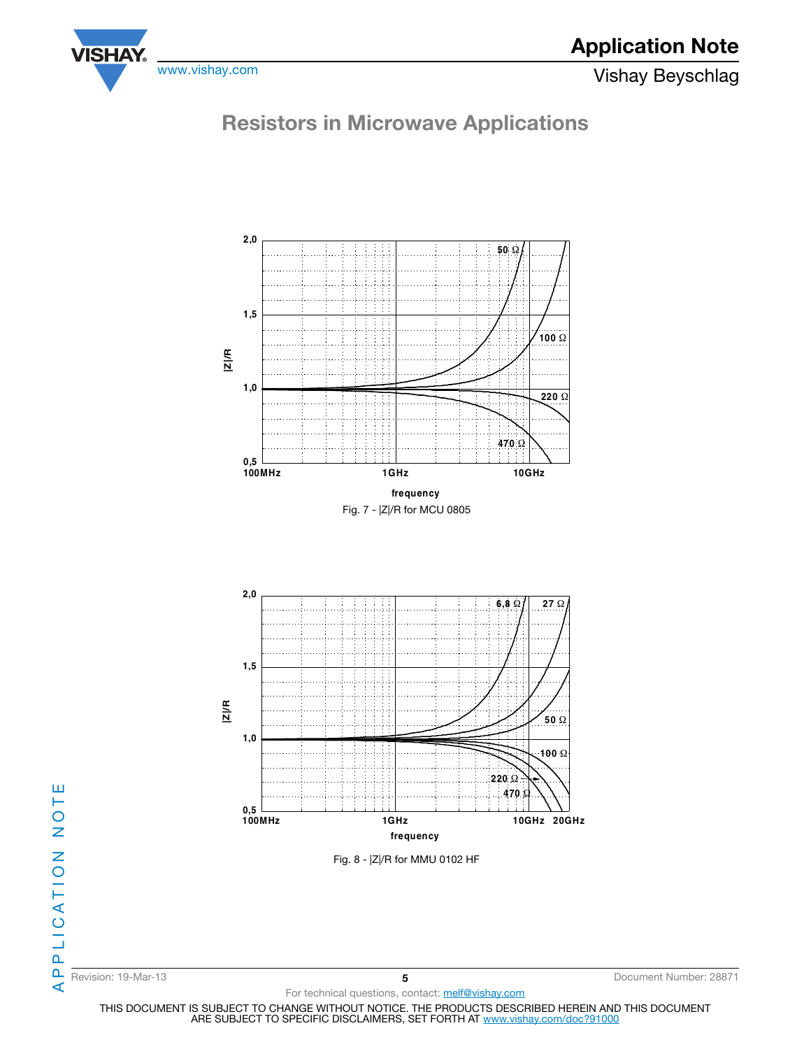

## Resistors in Microwave Applications



 Fig. 8 - |Z|/R for MMU 0102 HF **100MHz 1GHz 10GHz 20GHz 0,5 1,0 1,5 2,0 470** Ω **220** Ω **100** Ω **50** Ω **6,8** Ω **27** Ω **|Z|/R frequency**

Revision: 19-Mar-13 **5** Document Number: 28871